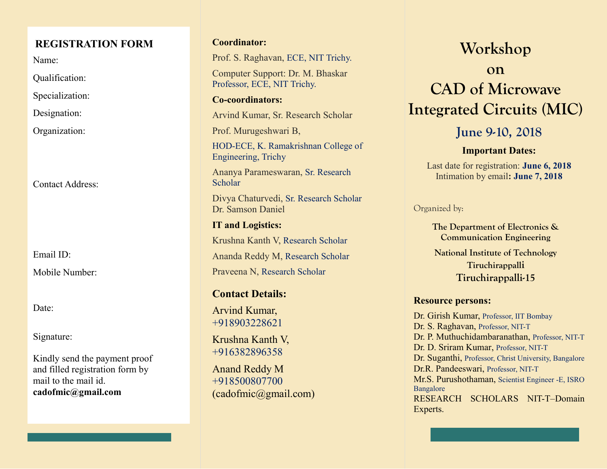### **REGISTRATION FORM**

Name:

Qualification:

Specialization:

Designation:

Organization:

Contact Address:

Email ID:

Mobile Number:

Date:

Signature:

Kindly send the payment proof and filled registration form by mail to the mail id. **cadofmic@gmail.com**

#### **Coordinator:**

Prof. S. Raghavan, ECE, NIT Trichy.

Computer Support: Dr. M. Bhaskar Professor, ECE, NIT Trichy.

#### **Co-coordinators:**

Arvind Kumar, Sr. Research Scholar

Prof. Murugeshwari B,

HOD-ECE, K. Ramakrishnan College of Engineering, Trichy

Ananya Parameswaran, Sr. Research **Scholar** 

Divya Chaturvedi, Sr. Research Scholar Dr. Samson Daniel

**IT and Logistics:**  Krushna Kanth V, Research Scholar Ananda Reddy M, Research Scholar Praveena N, Research Scholar

### **Contact Details:**

Arvind Kumar, +918903228621

Krushna Kanth V, +916382896358

Anand Reddy M +918500807700 (cadofmic@gmail.com)

# **Workshop**

# **on CAD of Microwave Integrated Circuits (MIC)**

**June 9-10, 2018**

#### **Important Dates:**

Last date for registration: **June 6, 2018** Intimation by email**: June 7, 2018**

Organized by:

**The Department of Electronics & Communication Engineering National Institute of Technology Tiruchirappalli Tiruchirappalli-15**

#### **Resource persons:**

Dr. Girish Kumar, Professor, IIT Bombay Dr. S. Raghavan, Professor, NIT-T Dr. P. Muthuchidambaranathan, Professor, NIT-T Dr. D. Sriram Kumar, Professor, NIT-T Dr. Suganthi, Professor, Christ University, Bangalore Dr.R. Pandeeswari, Professor, NIT-T Mr.S. Purushothaman, Scientist Engineer -E, ISRO Bangalore RESEARCH SCHOLARS NIT-T–Domain Experts.